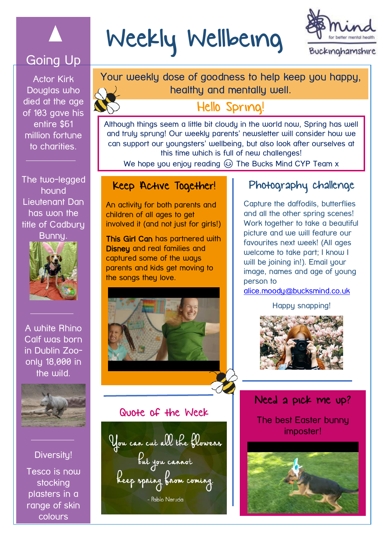

## Going Up

Actor Kirk Douglas who died at the age of 103 gave his entire \$61 million fortune to charities.

The two-legged hound Lieutenant Dan has won the title of Cadbury



A white Rhino Calf was born in Dublin Zooonly 18,000 in the wild.



Diversity!

Tesco is now stocking plasters in a range of skin colours

# Weekly Wellbeing



 Your weekly dose of goodness to help keep you happy, healthy and mentally well.

# Hello Spring!

Although things seem a little bit cloudy in the world now, Spring has well and truly sprung! Our weekly parents' newsletter will consider how we can support our youngsters' wellbeing, but also look after ourselves at this time which is full of new challenges!

We hope you enjoy reading  $\circled{e}$  The Bucks Mind CYP Team x

#### Keep Active Together!

An activity for both parents and children of all ages to get involved it (and not just for girls!)

This Girl Can has partnered with Disney and real families and captured some of the ways parents and kids get moving to the songs they love.



#### Quote of the Week

You can cut all the flowers<br>but you cannot<br>Reep spring from coming. - Pablo Neruda

#### Photography challenge

Capture the daffodils, butterflies and all the other spring scenes! Work together to take a beautiful picture and we will feature our favourites next week! (All ages welcome to take part; I know I will be joining in!). Email your image, names and age of young person to

[alice.moody@bucksmind.co.uk](mailto:alice.moody@bucksmind.co.uk)

Happy snapping!



### Need a pick me up?

The best Easter bunny imposter!